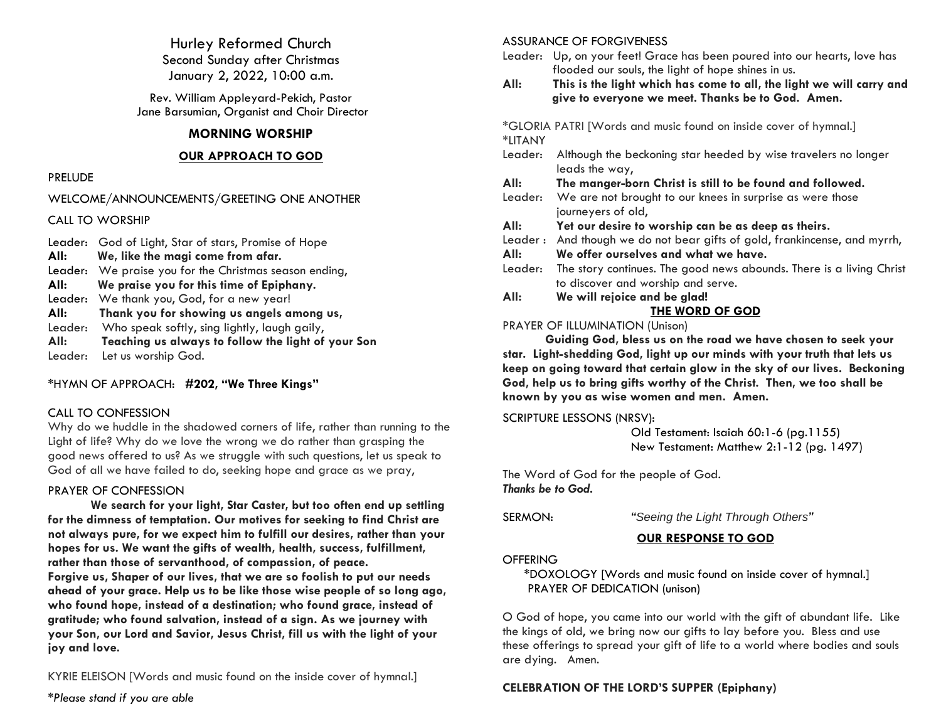Hurley Reformed Church Second Sunday after Christmas January 2, 2022, 10:00 a.m.

Rev. William Appleyard-Pekich, Pastor Jane Barsumian, Organist and Choir Director

#### **MORNING WORSHIP**

#### **OUR APPROACH TO GOD**

#### PRELUDE

WELCOME/ANNOUNCEMENTS/GREETING ONE ANOTHER

CALL TO WORSHIP

Leader: God of Light, Star of stars, Promise of Hope **All: We, like the magi come from afar.** Leader: We praise you for the Christmas season ending, **All: We praise you for this time of Epiphany.** Leader: We thank you, God, for a new year! **All: Thank you for showing us angels among us,** Leader: Who speak softly, sing lightly, laugh gaily, **All: Teaching us always to follow the light of your Son** Leader: Let us worship God.

\*HYMN OF APPROACH: **#202, "We Three Kings"**

### CALL TO CONFESSION

Why do we huddle in the shadowed corners of life, rather than running to the Light of life? Why do we love the wrong we do rather than grasping the good news offered to us? As we struggle with such questions, let us speak to God of all we have failed to do, seeking hope and grace as we pray,

### PRAYER OF CONFESSION

**We search for your light, Star Caster, but too often end up settling for the dimness of temptation. Our motives for seeking to find Christ are not always pure, for we expect him to fulfill our desires, rather than your hopes for us. We want the gifts of wealth, health, success, fulfillment, rather than those of servanthood, of compassion, of peace. Forgive us, Shaper of our lives, that we are so foolish to put our needs ahead of your grace. Help us to be like those wise people of so long ago, who found hope, instead of a destination; who found grace, instead of gratitude; who found salvation, instead of a sign. As we journey with your Son, our Lord and Savior, Jesus Christ, fill us with the light of your joy and love.**

KYRIE ELEISON [Words and music found on the inside cover of hymnal.]

*\*Please stand if you are able*

#### ASSURANCE OF FORGIVENESS

- Leader: Up, on your feet! Grace has been poured into our hearts, love has flooded our souls, the light of hope shines in us.
- **All: This is the light which has come to all, the light we will carry and give to everyone we meet. Thanks be to God. Amen.**

\*GLORIA PATRI [Words and music found on inside cover of hymnal.] \*LITANY

Leader: Although the beckoning star heeded by wise travelers no longer leads the way,

**All: The manger-born Christ is still to be found and followed.**

- Leader: We are not brought to our knees in surprise as were those journeyers of old,
- **All: Yet our desire to worship can be as deep as theirs.**
- Leader : And though we do not bear gifts of gold, frankincense, and myrrh,
- **All: We offer ourselves and what we have.**
- Leader: The story continues. The good news abounds. There is a living Christ to discover and worship and serve.
- **All: We will rejoice and be glad!**

## **THE WORD OF GOD**

### PRAYER OF ILLUMINATION (Unison)

**Guiding God, bless us on the road we have chosen to seek your star. Light-shedding God, light up our minds with your truth that lets us keep on going toward that certain glow in the sky of our lives. Beckoning God, help us to bring gifts worthy of the Christ. Then, we too shall be known by you as wise women and men. Amen.**

SCRIPTURE LESSONS (NRSV):

 Old Testament: Isaiah 60:1-6 (pg.1155) New Testament: Matthew 2:1-12 (pg. 1497)

The Word of God for the people of God. *Thanks be to God***.**

SERMON: *"Seeing the Light Through Others"*

## **OUR RESPONSE TO GOD**

#### **OFFERING**

\*DOXOLOGY [Words and music found on inside cover of hymnal.] PRAYER OF DEDICATION (unison)

O God of hope, you came into our world with the gift of abundant life. Like the kings of old, we bring now our gifts to lay before you. Bless and use these offerings to spread your gift of life to a world where bodies and souls are dying. Amen.

## **CELEBRATION OF THE LORD'S SUPPER (Epiphany)**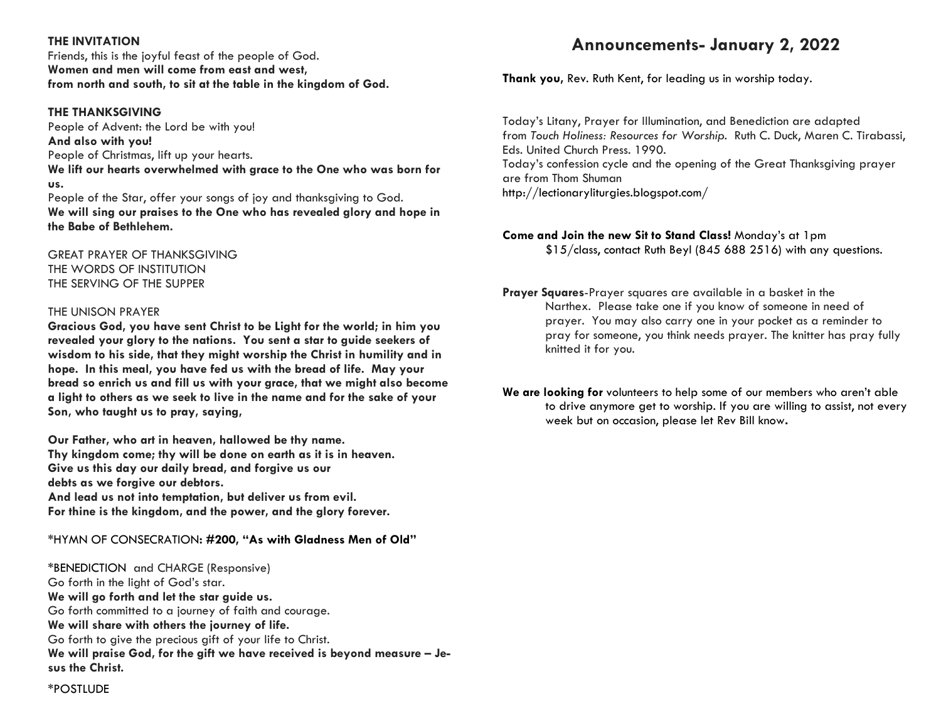#### **THE INVITATION**

Friends, this is the joyful feast of the people of God. **Women and men will come from east and west, from north and south, to sit at the table in the kingdom of God.**

#### **THE THANKSGIVING**

People of Advent: the Lord be with you! **And also with you!** People of Christmas, lift up your hearts. **We lift our hearts overwhelmed with grace to the One who was born for us.**

People of the Star, offer your songs of joy and thanksgiving to God. **We will sing our praises to the One who has revealed glory and hope in the Babe of Bethlehem.**

GREAT PRAYER OF THANKSGIVING THE WORDS OF INSTITUTION THE SERVING OF THE SUPPER

#### THE UNISON PRAYER

**Gracious God, you have sent Christ to be Light for the world; in him you revealed your glory to the nations. You sent a star to guide seekers of wisdom to his side, that they might worship the Christ in humility and in hope. In this meal, you have fed us with the bread of life. May your bread so enrich us and fill us with your grace, that we might also become a light to others as we seek to live in the name and for the sake of your Son, who taught us to pray, saying,**

**Our Father, who art in heaven, hallowed be thy name. Thy kingdom come; thy will be done on earth as it is in heaven. Give us this day our daily bread, and forgive us our debts as we forgive our debtors. And lead us not into temptation, but deliver us from evil. For thine is the kingdom, and the power, and the glory forever.**

\*HYMN OF CONSECRATION**: #200, "As with Gladness Men of Old"**

\*BENEDICTION and CHARGE (Responsive) Go forth in the light of God's star. **We will go forth and let the star guide us.** Go forth committed to a journey of faith and courage. **We will share with others the journey of life.** Go forth to give the precious gift of your life to Christ. **We will praise God, for the gift we have received is beyond measure – Jesus the Christ.**

# **Announcements- January 2, 2022**

**Thank you,** Rev. Ruth Kent, for leading us in worship today.

Today's Litany, Prayer for Illumination, and Benediction are adapted from *Touch Holiness: Resources for Worship*. Ruth C. Duck, Maren C. Tirabassi, Eds. United Church Press. 1990. Today's confession cycle and the opening of the Great Thanksgiving prayer are from Thom Shuman <http://lectionaryliturgies.blogspot.com/>

**Come and Join the new Sit to Stand Class!** Monday's at 1pm \$15/class, contact Ruth Beyl (845 688 2516) with any questions.

**Prayer Squares**-Prayer squares are available in a basket in the Narthex. Please take one if you know of someone in need of prayer. You may also carry one in your pocket as a reminder to pray for someone, you think needs prayer. The knitter has pray fully knitted it for you.

**We are looking for** volunteers to help some of our members who aren't able to drive anymore get to worship. If you are willing to assist, not every week but on occasion, please let Rev Bill know**.**

\*POSTLUDE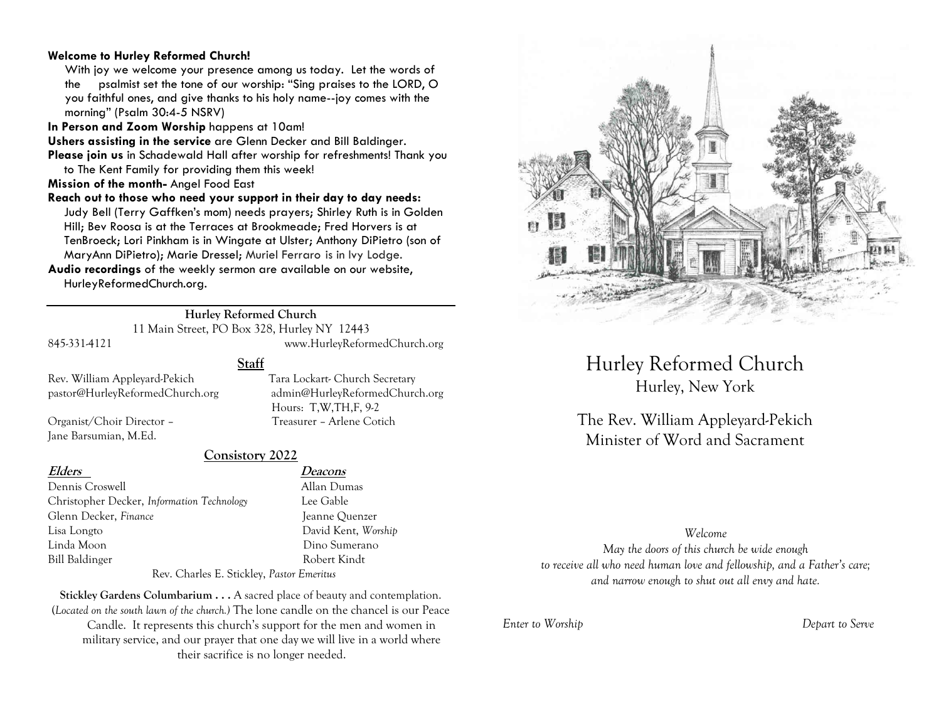#### **Welcome to Hurley Reformed Church!**

With joy we welcome your presence among us today. Let the words of the psalmist set the tone of our worship: "Sing praises to the LORD, O you faithful ones, and give thanks to his holy name--joy comes with the morning" (Psalm 30:4-5 NSRV)

**In Person and Zoom Worship** happens at 10am!

**Ushers assisting in the service** are Glenn Decker and Bill Baldinger.

**Please join us** in Schadewald Hall after worship for refreshments! Thank you to The Kent Family for providing them this week!

**Mission of the month-** Angel Food East

**Reach out to those who need your support in their day to day needs:**  Judy Bell (Terry Gaffken's mom) needs prayers; Shirley Ruth is in Golden Hill; Bev Roosa is at the Terraces at Brookmeade; Fred Horvers is at TenBroeck; Lori Pinkham is in Wingate at Ulster; Anthony DiPietro (son of MaryAnn DiPietro); Marie Dressel; Muriel Ferraro is in Ivy Lodge.

**Audio recordings** of the weekly sermon are available on our website, HurleyReformedChurch.org.

#### **Hurley Reformed Church**

11 Main Street, PO Box 328, Hurley NY 12443 845-331-4121 www.HurleyReformedChurch.org

**Staff**

Rev. William Appleyard-Pekich Tara Lockart- Church Secretary pastor@HurleyReformedChurch.org admin@HurleyReformedChurch.org

Organist/Choir Director – Treasurer – Arlene Cotich Jane Barsumian, M.Ed.

#### **Consistory 2022**

Dennis Croswell Allan Dumas Christopher Decker, *Information Technology* Lee Gable Glenn Decker, *Finance* Jeanne Quenzer Lisa Longto David Kent, *Worship* Linda Moon Dino Sumerano Bill Baldinger Robert Kindt

**Elders Deacons**

Hours: T,W,TH,F, 9-2

Rev. Charles E. Stickley, *Pastor Emeritus*

**Stickley Gardens Columbarium . . .** A sacred place of beauty and contemplation. (*Located on the south lawn of the church.)* The lone candle on the chancel is our Peace Candle. It represents this church's support for the men and women in military service, and our prayer that one day we will live in a world where their sacrifice is no longer needed.



# Hurley Reformed Church Hurley, New York

The Rev. William Appleyard-Pekich Minister of Word and Sacrament

#### *Welcome*

*May the doors of this church be wide enough to receive all who need human love and fellowship, and a Father's care; and narrow enough to shut out all envy and hate.*

*Enter to Worship Depart to Serve*